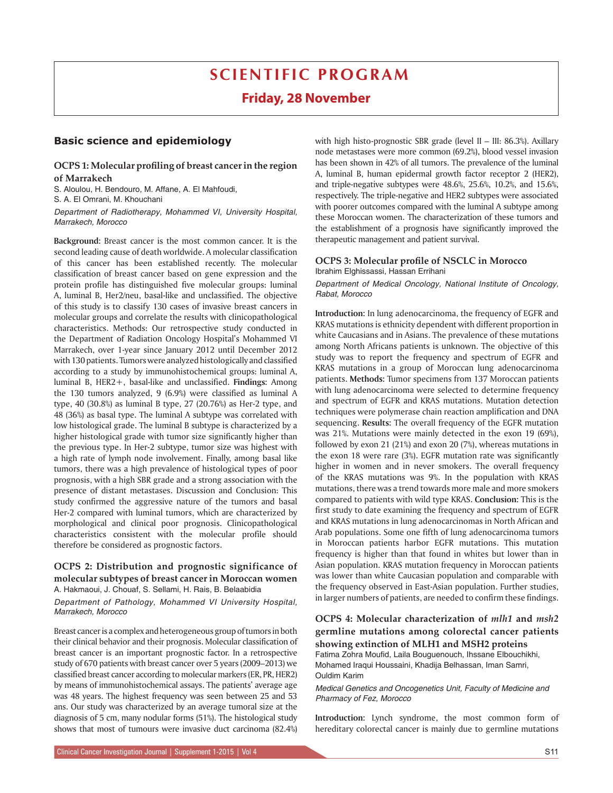# **SCIENTIFIC PROGRAM**

# **Friday, 28 November**

## **Basic science and epidemiology**

# **OCPS 1: Molecular profiling of breast cancerin the region of Marrakech**

S. Aloulou, H. Bendouro, M. Affane, A. El Mahfoudi,

S. A. El Omrani, M. Khouchani

*Department of Radiotherapy, Mohammed VI, University Hospital, Marrakech, Morocco* 

**Background:** Breast cancer is the most common cancer. It is the second leading cause of death worldwide. A molecular classification of this cancer has been established recently. The molecular classification of breast cancer based on gene expression and the protein profile has distinguished five molecular groups: luminal A, luminal B, Her2/neu, basal-like and unclassified. The objective of this study is to classify 130 cases of invasive breast cancers in molecular groups and correlate the results with clinicopathological characteristics. Methods: Our retrospective study conducted in the Department of Radiation Oncology Hospital's Mohammed VI Marrakech, over 1-year since January 2012 until December 2012 with 130 patients. Tumors were analyzed histologically and classified according to a study by immunohistochemical groups: luminal A, luminal B, HER2+, basal-like and unclassified. **Findings:** Among the 130 tumors analyzed, 9 (6.9%) were classified as luminal A type, 40 (30.8%) as luminal B type, 27 (20.76%) as Her-2 type, and 48 (36%) as basal type. The luminal A subtype was correlated with low histological grade. The luminal B subtype is characterized by a higher histological grade with tumor size significantly higher than the previous type. In Her-2 subtype, tumor size was highest with a high rate of lymph node involvement. Finally, among basal like tumors, there was a high prevalence of histological types of poor prognosis, with a high SBR grade and a strong association with the presence of distant metastases. Discussion and Conclusion: This study confirmed the aggressive nature of the tumors and basal Her-2 compared with luminal tumors, which are characterized by morphological and clinical poor prognosis. Clinicopathological characteristics consistent with the molecular profile should therefore be considered as prognostic factors.

#### **OCPS 2: Distribution and prognostic significance of molecular subtypes of breast cancer in Moroccan women** A. Hakmaoui, J. Chouaf, S. Sellami, H. Rais, B. Belaabidia

*Department of Pathology, Mohammed VI University Hospital, Marrakech, Morocco*

Breast cancer is a complex and heterogeneous group of tumors in both their clinical behavior and their prognosis. Molecular classification of breast cancer is an important prognostic factor. In a retrospective study of 670 patients with breast cancer over 5 years (2009–2013) we classified breast cancer according to molecular markers (ER, PR, HER2) by means of immunohistochemical assays. The patients' average age was 48 years. The highest frequency was seen between 25 and 53 ans. Our study was characterized by an average tumoral size at the diagnosis of 5 cm, many nodular forms (51%). The histological study shows that most of tumours were invasive duct carcinoma (82.4%) with high histo-prognostic SBR grade (level II – III: 86.3%). Axillary node metastases were more common (69.2%), blood vessel invasion has been shown in 42% of all tumors. The prevalence of the luminal A, luminal B, human epidermal growth factor receptor 2 (HER2), and triple-negative subtypes were 48.6%, 25.6%, 10.2%, and 15.6%, respectively. The triple-negative and HER2 subtypes were associated with poorer outcomes compared with the luminal A subtype among these Moroccan women. The characterization of these tumors and the establishment of a prognosis have significantly improved the therapeutic management and patient survival.

#### **OCPS 3: Molecular profile of NSCLC in Morocco** Ibrahim Elghissassi, Hassan Errihani

*Department of Medical Oncology, National Institute of Oncology, Rabat, Morocco*

**Introduction:** In lung adenocarcinoma, the frequency of EGFR and KRAS mutations is ethnicity dependent with different proportion in white Caucasians and in Asians. The prevalence of these mutations among North Africans patients is unknown. The objective of this study was to report the frequency and spectrum of EGFR and KRAS mutations in a group of Moroccan lung adenocarcinoma patients. **Methods:** Tumor specimens from 137 Moroccan patients with lung adenocarcinoma were selected to determine frequency and spectrum of EGFR and KRAS mutations. Mutation detection techniques were polymerase chain reaction amplification and DNA sequencing. **Results:** The overall frequency of the EGFR mutation was 21%. Mutations were mainly detected in the exon 19 (69%), followed by exon 21 (21%) and exon 20 (7%), whereas mutations in the exon 18 were rare (3%). EGFR mutation rate was significantly higher in women and in never smokers. The overall frequency of the KRAS mutations was 9%. In the population with KRAS mutations, there was a trend towards more male and more smokers compared to patients with wild type KRAS. **Conclusion:** This is the first study to date examining the frequency and spectrum of EGFR and KRAS mutations in lung adenocarcinomas in North African and Arab populations. Some one fifth of lung adenocarcinoma tumors in Moroccan patients harbor EGFR mutations. This mutation frequency is higher than that found in whites but lower than in Asian population. KRAS mutation frequency in Moroccan patients was lower than white Caucasian population and comparable with the frequency observed in East-Asian population. Further studies, in larger numbers of patients, are needed to confirm these findings.

## **OCPS 4: Molecular characterization of** *mlh1* **and** *msh2* **germline mutations among colorectal cancer patients showing extinction of MLH1 and MSH2 proteins**

Fatima Zohra Moufid, Laila Bouguenouch, Ihssane Elbouchikhi, Mohamed Iraqui Houssaini, Khadija Belhassan, Iman Samri, Ouldim Karim

*Medical Genetics and Oncogenetics Unit, Faculty of Medicine and Pharmacy of Fez, Morocco*

**Introduction:** Lynch syndrome, the most common form of hereditary colorectal cancer is mainly due to germline mutations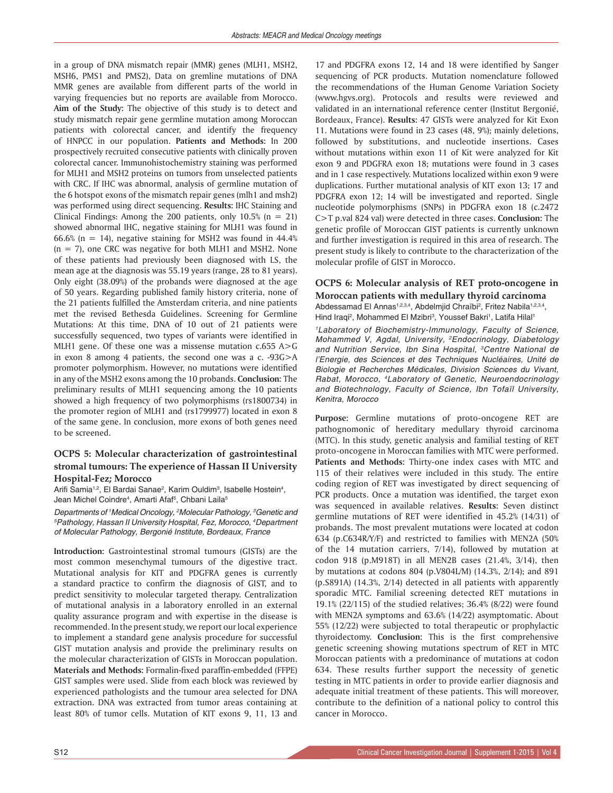in a group of DNA mismatch repair (MMR) genes (MLH1, MSH2, MSH6, PMS1 and PMS2), Data on gremline mutations of DNA MMR genes are available from different parts of the world in varying frequencies but no reports are available from Morocco. **Aim of the Study:** The objective of this study is to detect and study mismatch repair gene germline mutation among Moroccan patients with colorectal cancer, and identify the frequency of HNPCC in our population. **Patients and Methods:** In 200 prospectively recruited consecutive patients with clinically proven colorectal cancer. Immunohistochemistry staining was performed for MLH1 and MSH2 proteins on tumors from unselected patients with CRC. If IHC was abnormal, analysis of germline mutation of the 6 hotspot exons of the mismatch repair genes (mlh1 and msh2) was performed using direct sequencing. **Results:** IHC Staining and Clinical Findings: Among the 200 patients, only 10.5% ( $n = 21$ ) showed abnormal IHC, negative staining for MLH1 was found in 66.6% (n = 14), negative staining for MSH2 was found in  $44.4%$  $(n = 7)$ , one CRC was negative for both MLH1 and MSH2. None of these patients had previously been diagnosed with LS, the mean age at the diagnosis was 55.19 years (range, 28 to 81 years). Only eight (38.09%) of the probands were diagnosed at the age of 50 years. Regarding published family history criteria, none of the 21 patients fulfilled the Amsterdam criteria, and nine patients met the revised Bethesda Guidelines. Screening for Germline Mutations: At this time, DNA of 10 out of 21 patients were successfully sequenced, two types of variants were identified in MLH1 gene. Of these one was a missense mutation c.655 A>G in exon 8 among 4 patients, the second one was a c. -93G>A promoter polymorphism. However, no mutations were identified in any of the MSH2 exons among the 10 probands. **Conclusion:** The preliminary results of MLH1 sequencing among the 10 patients showed a high frequency of two polymorphisms (rs1800734) in the promoter region of MLH1 and (rs1799977) located in exon 8 of the same gene. In conclusion, more exons of both genes need to be screened.

### **OCPS 5: Molecular characterization of gastrointestinal stromal tumours: The experience of Hassan II University Hospital-Fez; Morocco**

Arifi Samia<sup>1,2</sup>, El Bardai Sanae<sup>2</sup>, Karim Ouldim<sup>3</sup>, Isabelle Hostein<sup>4</sup>, Jean Michel Coindre<sup>4</sup>, Amarti Afaf<sup>5</sup>, Chbani Laila<sup>5</sup>

*Departments of 1 Medical Oncology, 2 Molecular Pathology, 3 Genetic and 5 Pathology, Hassan II University Hospital, Fez, Morocco, 4 Department of Molecular Pathology, Bergonié Institute, Bordeaux, France*

**Introduction:** Gastrointestinal stromal tumours (GISTs) are the most common mesenchymal tumours of the digestive tract. Mutational analysis for KIT and PDGFRA genes is currently a standard practice to confirm the diagnosis of GIST, and to predict sensitivity to molecular targeted therapy. Centralization of mutational analysis in a laboratory enrolled in an external quality assurance program and with expertise in the disease is recommended. In the present study, we report our local experience to implement a standard gene analysis procedure for successful GIST mutation analysis and provide the preliminary results on the molecular characterization of GISTs in Moroccan population. **Materials and Methods:** Formalin-fixed paraffin-embedded (FFPE) GIST samples were used. Slide from each block was reviewed by experienced pathologists and the tumour area selected for DNA extraction. DNA was extracted from tumor areas containing at least 80% of tumor cells. Mutation of KIT exons 9, 11, 13 and

17 and PDGFRA exons 12, 14 and 18 were identified by Sanger sequencing of PCR products. Mutation nomenclature followed the recommendations of the Human Genome Variation Society (www.hgvs.org). Protocols and results were reviewed and validated in an international reference center (Institut Bergonié, Bordeaux, France). **Results:** 47 GISTs were analyzed for Kit Exon 11. Mutations were found in 23 cases (48, 9%); mainly deletions, followed by substitutions, and nucleotide insertions. Cases without mutations within exon 11 of Kit were analyzed for Kit exon 9 and PDGFRA exon 18; mutations were found in 3 cases and in 1 case respectively. Mutations localized within exon 9 were duplications. Further mutational analysis of KIT exon 13; 17 and PDGFRA exon 12; 14 will be investigated and reported. Single nucleotide polymorphisms (SNPs) in PDGFRA exon 18 (c.2472 C>T p.val 824 val) were detected in three cases. **Conclusion:** The genetic profile of Moroccan GIST patients is currently unknown and further investigation is required in this area of research. The present study is likely to contribute to the characterization of the molecular profile of GIST in Morocco.

#### **OCPS 6: Molecular analysis of RET proto-oncogene in Moroccan patients with medullary thyroid carcinoma** Abdessamad El Annas<sup>1,2,3,4</sup>, Abdelmjid Chraïbi<sup>2</sup>, Fritez Nabila<sup>1,2,3,4</sup>, Hind Iraqi<sup>2</sup>, Mohammed El Mzibri<sup>3</sup>, Youssef Bakri<sup>1</sup>, Latifa Hilal<sup>1</sup>

*1Laboratory of Biochemistry-Immunology, Faculty of Science, Mohammed V, Agdal, University, 2Endocrinology, Diabetology and Nutrition Service, Ibn Sina Hospital, 3Centre National de l'Energie, des Sciences et des Techniques Nucléaires, Unité de Biologie et Recherches Médicales, Division Sciences du Vivant, Rabat, Morocco, 4Laboratory of Genetic, Neuroendocrinology and Biotechnology, Faculty of Science, Ibn Tofaïl University, Kenitra, Morocco*

**Purpose:** Germline mutations of proto-oncogene RET are pathognomonic of hereditary medullary thyroid carcinoma (MTC). In this study, genetic analysis and familial testing of RET proto-oncogene in Moroccan families with MTC were performed. **Patients and Methods:** Thirty-one index cases with MTC and 115 of their relatives were included in this study. The entire coding region of RET was investigated by direct sequencing of PCR products. Once a mutation was identified, the target exon was sequenced in available relatives. **Results:** Seven distinct germline mutations of RET were identified in 45.2% (14/31) of probands. The most prevalent mutations were located at codon 634 (p.C634R/Y/F) and restricted to families with MEN2A (50% of the 14 mutation carriers, 7/14), followed by mutation at codon 918 (p.M918T) in all MEN2B cases (21.4%, 3/14), then by mutations at codons 804 (p.V804L/M) (14.3%, 2/14); and 891 (p.S891A) (14.3%, 2/14) detected in all patients with apparently sporadic MTC. Familial screening detected RET mutations in 19.1% (22/115) of the studied relatives; 36.4% (8/22) were found with MEN2A symptoms and 63.6% (14/22) asymptomatic. About 55% (12/22) were subjected to total therapeutic or prophylactic thyroidectomy. **Conclusion:** This is the first comprehensive genetic screening showing mutations spectrum of RET in MTC Moroccan patients with a predominance of mutations at codon 634. These results further support the necessity of genetic testing in MTC patients in order to provide earlier diagnosis and adequate initial treatment of these patients. This will moreover, contribute to the definition of a national policy to control this cancer in Morocco.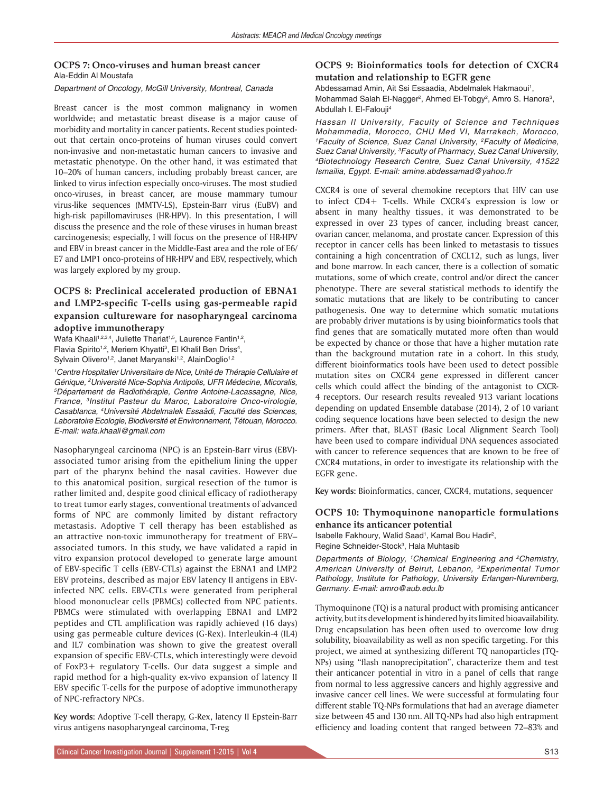#### **OCPS 7: Onco-viruses and human breast cancer** Ala-Eddin Al Moustafa

#### *Department of Oncology, McGill University, Montreal, Canada*

Breast cancer is the most common malignancy in women worldwide; and metastatic breast disease is a major cause of morbidity and mortality in cancer patients. Recent studies pointedout that certain onco-proteins of human viruses could convert non-invasive and non-metastatic human cancers to invasive and metastatic phenotype. On the other hand, it was estimated that 10–20% of human cancers, including probably breast cancer, are linked to virus infection especially onco-viruses. The most studied onco-viruses, in breast cancer, are mouse mammary tumour virus-like sequences (MMTV-LS), Epstein-Barr virus (EuBV) and high-risk papillomaviruses (HR-HPV). In this presentation, I will discuss the presence and the role of these viruses in human breast carcinogenesis; especially, I will focus on the presence of HR-HPV and EBV in breast cancer in the Middle-East area and the role of E6/ E7 and LMP1 onco-proteins of HR-HPV and EBV, respectively, which was largely explored by my group.

## **OCPS 8: Preclinical accelerated production of EBNA1 and LMP2-specific T-cells using gas-permeable rapid expansion cultureware for nasopharyngeal carcinoma adoptive immunotherapy**

Wafa Khaali<sup>1,2,3,4</sup>, Juliette Thariat<sup>1,5</sup>, Laurence Fantin<sup>1,2</sup>, Flavia Spirito<sup>1,2</sup>, Meriem Khyatti<sup>3</sup>, El Khalil Ben Driss<sup>4</sup>, Sylvain Olivero<sup>1,2</sup>, Janet Maryanski<sup>1,2</sup>, AlainDoglio<sup>1,2</sup>

<sup>1</sup> Centre Hospitalier Universitaire de Nice, Unité de Thérapie Cellulaire et *Génique, 2 Université Nice-Sophia Antipolis, UFR Médecine, Micoralis, 5 Département de Radiothérapie, Centre Antoine-Lacassagne, Nice, France, 3Institut Pasteur du Maroc, Laboratoire Onco-virologie, Casablanca, 4 Université Abdelmalek Essaâdi, Faculté des Sciences, Laboratoire Ecologie, Biodiversité et Environnement, Tétouan, Morocco. E-mail: wafa.khaali@gmail.com*

Nasopharyngeal carcinoma (NPC) is an Epstein-Barr virus (EBV) associated tumor arising from the epithelium lining the upper part of the pharynx behind the nasal cavities. However due to this anatomical position, surgical resection of the tumor is rather limited and, despite good clinical efficacy of radiotherapy to treat tumor early stages, conventional treatments of advanced forms of NPC are commonly limited by distant refractory metastasis. Adoptive T cell therapy has been established as an attractive non-toxic immunotherapy for treatment of EBV– associated tumors. In this study, we have validated a rapid in vitro expansion protocol developed to generate large amount of EBV-specific T cells (EBV-CTLs) against the EBNA1 and LMP2 EBV proteins, described as major EBV latency II antigens in EBVinfected NPC cells. EBV-CTLs were generated from peripheral blood mononuclear cells (PBMCs) collected from NPC patients. PBMCs were stimulated with overlapping EBNA1 and LMP2 peptides and CTL amplification was rapidly achieved (16 days) using gas permeable culture devices (G-Rex). Interleukin-4 (IL4) and IL7 combination was shown to give the greatest overall expansion of specific EBV-CTLs, which interestingly were devoid of FoxP3+ regulatory T-cells. Our data suggest a simple and rapid method for a high-quality ex-vivo expansion of latency II EBV specific T-cells for the purpose of adoptive immunotherapy of NPC-refractory NPCs.

**Key words:** Adoptive T-cell therapy, G-Rex, latency II Epstein-Barr virus antigens nasopharyngeal carcinoma, T-reg

### **OCPS 9: Bioinformatics tools for detection of CXCR4 mutation and relationship to EGFR gene**

Abdessamad Amin, Ait Ssi Essaadia, Abdelmalek Hakmaoui<sup>1</sup>, Mohammad Salah El-Nagger<sup>2</sup>, Ahmed El-Tobgy<sup>2</sup>, Amro S. Hanora<sup>3</sup>, Abdullah I. El-Falouji4

*Hassan II University, Faculty of Science and Techniques Mohammedia, Morocco, CHU Med VI, Marrakech, Morocco, 1 Faculty of Science, Suez Canal University, 2Faculty of Medicine, Suez Canal University, 3 Faculty of Pharmacy, Suez Canal University, 4Biotechnology Research Centre, Suez Canal University, 41522 Ismailia, Egypt. E-mail: amine.abdessamad@yahoo.fr*

CXCR4 is one of several chemokine receptors that HIV can use to infect CD4+ T-cells. While CXCR4's expression is low or absent in many healthy tissues, it was demonstrated to be expressed in over 23 types of cancer, including breast cancer, ovarian cancer, melanoma, and prostate cancer. Expression of this receptor in cancer cells has been linked to metastasis to tissues containing a high concentration of CXCL12, such as lungs, liver and bone marrow. In each cancer, there is a collection of somatic mutations, some of which create, control and/or direct the cancer phenotype. There are several statistical methods to identify the somatic mutations that are likely to be contributing to cancer pathogenesis. One way to determine which somatic mutations are probably driver mutations is by using bioinformatics tools that find genes that are somatically mutated more often than would be expected by chance or those that have a higher mutation rate than the background mutation rate in a cohort. In this study, different bioinformatics tools have been used to detect possible mutation sites on CXCR4 gene expressed in different cancer cells which could affect the binding of the antagonist to CXCR-4 receptors. Our research results revealed 913 variant locations depending on updated Ensemble database (2014), 2 of 10 variant coding sequence locations have been selected to design the new primers. After that, BLAST (Basic Local Alignment Search Tool) have been used to compare individual DNA sequences associated with cancer to reference sequences that are known to be free of CXCR4 mutations, in order to investigate its relationship with the EGFR gene.

**Key words:** Bioinformatics, cancer, CXCR4, mutations, sequencer

### **OCPS 10: Thymoquinone nanoparticle formulations enhance its anticancer potential**

Isabelle Fakhoury, Walid Saad<sup>1</sup>, Kamal Bou Hadir<sup>2</sup>, Regine Schneider-Stock<sup>3</sup>, Hala Muhtasib

*Departments of Biology, 1Chemical Engineering and 2Chemistry, American University of Beirut, Lebanon, 3Experimental Tumor Pathology, Institute for Pathology, University Erlangen-Nuremberg, Germany. E-mail: amro@aub.edu.lb*

Thymoquinone (TQ) is a natural product with promising anticancer activity, but its development is hindered by its limited bioavailability. Drug encapsulation has been often used to overcome low drug solubility, bioavailability as well as non specific targeting. For this project, we aimed at synthesizing different TQ nanoparticles (TQ-NPs) using "flash nanoprecipitation", characterize them and test their anticancer potential in vitro in a panel of cells that range from normal to less aggressive cancers and highly aggressive and invasive cancer cell lines. We were successful at formulating four different stable TQ-NPs formulations that had an average diameter size between 45 and 130 nm. All TQ-NPs had also high entrapment efficiency and loading content that ranged between 72–83% and